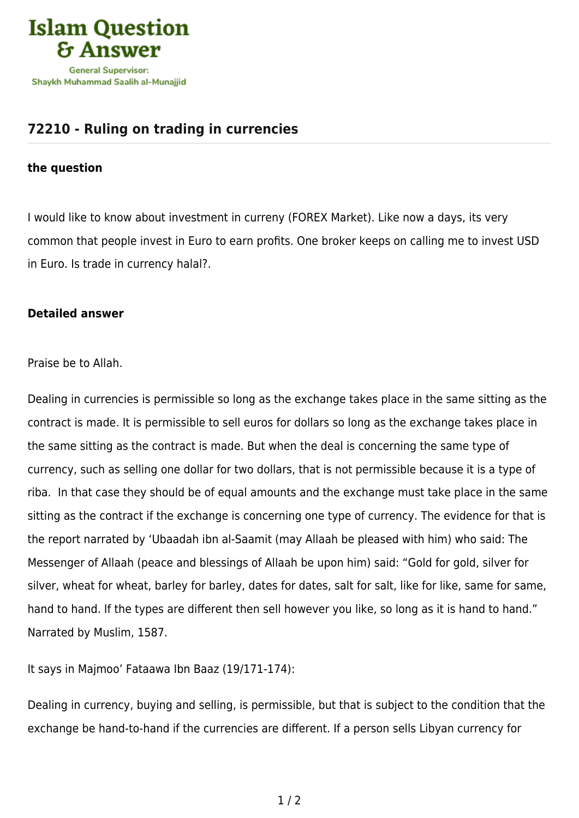

## **[72210 - Ruling on trading in currencies](https://islamqa.ws/en/answers/72210/ruling-on-trading-in-currencies)**

## **the question**

I would like to know about investment in curreny (FOREX Market). Like now a days, its very common that people invest in Euro to earn profits. One broker keeps on calling me to invest USD in Euro. Is trade in currency halal?.

## **Detailed answer**

Praise be to Allah.

Dealing in currencies is permissible so long as the exchange takes place in the same sitting as the contract is made. It is permissible to sell euros for dollars so long as the exchange takes place in the same sitting as the contract is made. But when the deal is concerning the same type of currency, such as selling one dollar for two dollars, that is not permissible because it is a type of riba. In that case they should be of equal amounts and the exchange must take place in the same sitting as the contract if the exchange is concerning one type of currency. The evidence for that is the report narrated by 'Ubaadah ibn al-Saamit (may Allaah be pleased with him) who said: The Messenger of Allaah (peace and blessings of Allaah be upon him) said: "Gold for gold, silver for silver, wheat for wheat, barley for barley, dates for dates, salt for salt, like for like, same for same, hand to hand. If the types are different then sell however you like, so long as it is hand to hand." Narrated by Muslim, 1587.

It says in Majmoo' Fataawa Ibn Baaz (19/171-174):

Dealing in currency, buying and selling, is permissible, but that is subject to the condition that the exchange be hand-to-hand if the currencies are different. If a person sells Libyan currency for